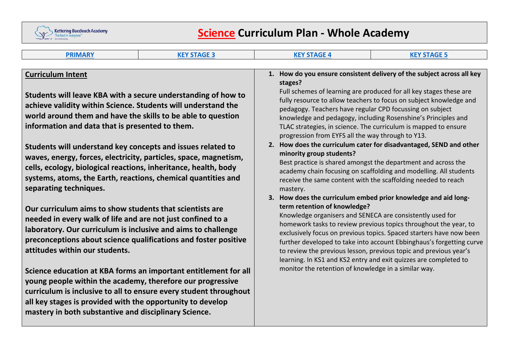

# **Science Curriculum Plan ‐ Whole Academy**

| <b>PRIMARY</b>                                                                                                                                                                                                                                                                                                                                                                                                                                                                                                                                       | <b>KEY STAGE 3</b>                                                                                                                   | <b>KEY STAGE 4</b>                                                                                                                                                                                                                                                                                                                                                                                                                                                                                                                                                                                                                                                                                                                                                                          | <b>KEY STAGE 5</b>                                                                                                                                                                                                                                                                                                                                                                                                         |  |  |  |
|------------------------------------------------------------------------------------------------------------------------------------------------------------------------------------------------------------------------------------------------------------------------------------------------------------------------------------------------------------------------------------------------------------------------------------------------------------------------------------------------------------------------------------------------------|--------------------------------------------------------------------------------------------------------------------------------------|---------------------------------------------------------------------------------------------------------------------------------------------------------------------------------------------------------------------------------------------------------------------------------------------------------------------------------------------------------------------------------------------------------------------------------------------------------------------------------------------------------------------------------------------------------------------------------------------------------------------------------------------------------------------------------------------------------------------------------------------------------------------------------------------|----------------------------------------------------------------------------------------------------------------------------------------------------------------------------------------------------------------------------------------------------------------------------------------------------------------------------------------------------------------------------------------------------------------------------|--|--|--|
|                                                                                                                                                                                                                                                                                                                                                                                                                                                                                                                                                      |                                                                                                                                      |                                                                                                                                                                                                                                                                                                                                                                                                                                                                                                                                                                                                                                                                                                                                                                                             |                                                                                                                                                                                                                                                                                                                                                                                                                            |  |  |  |
| <b>Curriculum Intent</b><br>Students will leave KBA with a secure understanding of how to<br>achieve validity within Science. Students will understand the<br>world around them and have the skills to be able to question<br>information and data that is presented to them.<br>Students will understand key concepts and issues related to<br>waves, energy, forces, electricity, particles, space, magnetism,<br>cells, ecology, biological reactions, inheritance, health, body<br>systems, atoms, the Earth, reactions, chemical quantities and |                                                                                                                                      | 1. How do you ensure consistent delivery of the subject across all key<br>stages?<br>Full schemes of learning are produced for all key stages these are<br>fully resource to allow teachers to focus on subject knowledge and<br>pedagogy. Teachers have regular CPD focussing on subject<br>knowledge and pedagogy, including Rosenshine's Principles and<br>TLAC strategies, in science. The curriculum is mapped to ensure<br>progression from EYFS all the way through to Y13.<br>2. How does the curriculum cater for disadvantaged, SEND and other<br>minority group students?<br>Best practice is shared amongst the department and across the<br>academy chain focusing on scaffolding and modelling. All students<br>receive the same content with the scaffolding needed to reach |                                                                                                                                                                                                                                                                                                                                                                                                                            |  |  |  |
| separating techniques.<br>Our curriculum aims to show students that scientists are<br>needed in every walk of life and are not just confined to a<br>laboratory. Our curriculum is inclusive and aims to challenge<br>preconceptions about science qualifications and foster positive<br>attitudes within our students.<br>young people within the academy, therefore our progressive<br>all key stages is provided with the opportunity to develop<br>mastery in both substantive and disciplinary Science.                                         | Science education at KBA forms an important entitlement for all<br>curriculum is inclusive to all to ensure every student throughout | mastery.<br>term retention of knowledge?<br>Knowledge organisers and SENECA are consistently used for<br>monitor the retention of knowledge in a similar way.                                                                                                                                                                                                                                                                                                                                                                                                                                                                                                                                                                                                                               | 3. How does the curriculum embed prior knowledge and aid long-<br>homework tasks to review previous topics throughout the year, to<br>exclusively focus on previous topics. Spaced starters have now been<br>further developed to take into account Ebbinghaus's forgetting curve<br>to review the previous lesson, previous topic and previous year's<br>learning. In KS1 and KS2 entry and exit quizzes are completed to |  |  |  |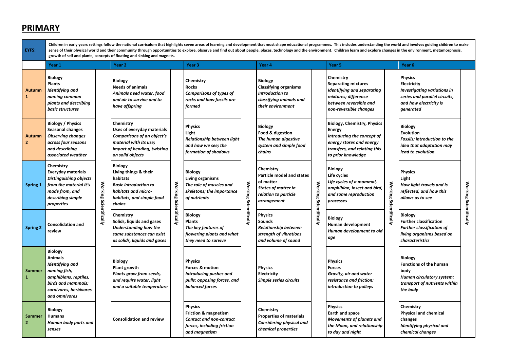#### **PRIMARY**

**EYFS:** 

Children in early years settings follow the national curriculum that highlights seven areas of learning and development that must shape educational programmes. This includes understanding the world and involves guiding chi sense of their physical world and their community through opportunities to explore, observe and find out about people, places, technology and the environment. Children learn and explore changes in the environment, metamorp **growth of self and plants, concepts of floating and sinking and magnets.** 

|                                 | Year 1                                                                                                                                                        |                        | Year 2                                                                                                                                             |                        | Year 3                                                                                                               |                        | Year 4                                                                                                                          |                        | Year <sub>5</sub>                                                                                                                                                   |                        | Year <sub>6</sub>                                                                                                                           |                        |
|---------------------------------|---------------------------------------------------------------------------------------------------------------------------------------------------------------|------------------------|----------------------------------------------------------------------------------------------------------------------------------------------------|------------------------|----------------------------------------------------------------------------------------------------------------------|------------------------|---------------------------------------------------------------------------------------------------------------------------------|------------------------|---------------------------------------------------------------------------------------------------------------------------------------------------------------------|------------------------|---------------------------------------------------------------------------------------------------------------------------------------------|------------------------|
| Autumn                          | <b>Biology</b><br><b>Plants</b><br>Identifying and<br>naming common<br>plants and describing<br>basic structures                                              |                        | <b>Biology</b><br><b>Needs of animals</b><br>Animals need water, food<br>and air to survive and to<br>have offspring                               |                        | Chemistry<br><b>Rocks</b><br><b>Comparisons of types of</b><br>rocks and how fossils are<br>formed                   |                        | <b>Biology</b><br><b>Classifying organisms</b><br><b>Introduction to</b><br>classifying animals and<br>their environment        |                        | Chemistry<br><b>Separating mixtures</b><br><b>Identifying and separating</b><br>mixtures; difference<br>between reversible and<br>non-reversible changes            |                        | <b>Physics</b><br>Electricity<br><b>Investigating variations in</b><br>series and parallel circuits,<br>and how electricity is<br>generated |                        |
| Autumn<br>$\mathbf{2}$          | <b>Biology / Physics</b><br>Seasonal changes<br><b>Observing changes</b><br>across four seasons<br>and describina<br>associated weather                       |                        | Chemistry<br>Uses of everyday materials<br>Comparisons of an object's<br>material with its use;<br>impact of bending, twisting<br>on solid objects |                        | <b>Physics</b><br>Light<br>Relationship between light<br>and how we see; the<br>formation of shadows                 |                        | <b>Biology</b><br>Food & digestion<br>The human digestive<br>system and simple food<br>chains                                   |                        | <b>Biology, Chemistry, Physics</b><br><b>Energy</b><br>Introducing the concept of<br>energy stores and energy<br>transfers, and relating this<br>to prior knowledge |                        | <b>Biology</b><br><b>Evolution</b><br><b>Fossils; introduction to the</b><br>idea that adaptation may<br>lead to evolution                  |                        |
| Spring 1                        | Chemistry<br><b>Everyday materials</b><br><b>Distinguishing objects</b><br>from the material it's<br>made from, and<br>describing simple<br>properties        | Working Scientifically | <b>Biology</b><br>Living things & their<br>habitats<br><b>Basic introduction to</b><br>habitats and micro-<br>habitats, and simple food<br>chains  | Working Scientifically | <b>Biology</b><br>Living organisms<br>The role of muscles and<br>skeletons; the importance<br>of nutrients           | Working Scientifically | Chemistry<br><b>Particle model and states</b><br>of matter<br><b>States of matter in</b><br>relation to particle<br>arrangement | Working Scientifically | <b>Biology</b><br>Life cycles<br>Life cycles of a mammal,<br>amphibian, insect and bird,<br>and some reproduction<br>processes                                      | Working Scientifically | <b>Physics</b><br>Light<br>How light travels and is<br>reflected, and how this<br>allows us to see                                          | Working Scientifically |
| <b>Spring 2</b>                 | <b>Consolidation and</b><br>review                                                                                                                            |                        | Chemistry<br>Solids, liquids and gases<br><b>Understanding how the</b><br>same substances can exist<br>as solids, liquids and gases                |                        | <b>Biology</b><br><b>Plants</b><br>The key features of<br>flowering plants and what<br>they need to survive          |                        | <b>Physics</b><br>Sounds<br><b>Relationship between</b><br>strength of vibrations<br>and volume of sound                        |                        | <b>Biology</b><br>Human development<br>Human development to old<br>age                                                                                              |                        | <b>Biology</b><br><b>Further classification</b><br><b>Further classification of</b><br>living organisms based on<br><i>characteristics</i>  |                        |
| <b>Summer</b><br>1              | <b>Biology</b><br>Animals<br><b>Identifying and</b><br>naming fish,<br>amphibians, reptiles,<br>birds and mammals;<br>carnivores, herbivores<br>and omnivores |                        | <b>Biology</b><br>Plant growth<br>Plants grow from seeds,<br>and require water, light<br>and a suitable temperature                                |                        | <b>Physics</b><br>Forces & motion<br>Introducing pushes and<br>pulls; opposing forces, and<br><b>balanced</b> forces |                        | <b>Physics</b><br>Electricity<br>Simple series circuits                                                                         |                        | <b>Physics</b><br><b>Forces</b><br>Gravity, air and water<br>resistance and friction;<br>introduction to pulleys                                                    |                        | <b>Biology</b><br><b>Functions of the human</b><br>body<br>Human circulatory system;<br>transport of nutrients within<br>the body           |                        |
| <b>Summer</b><br>$\overline{2}$ | <b>Biology</b><br><b>Humans</b><br>Human body parts and<br>senses                                                                                             |                        | <b>Consolidation and review</b>                                                                                                                    |                        | <b>Physics</b><br>Friction & magnetism<br>Contact and non-contact<br>forces, including friction<br>and magnetism     |                        | Chemistry<br><b>Properties of materials</b><br>Considering physical and<br>chemical properties                                  |                        | <b>Physics</b><br>Earth and space<br><b>Movements of planets and</b><br>the Moon, and relationship<br>to day and night                                              |                        | Chemistry<br><b>Physical and chemical</b><br>changes<br>Identifying physical and<br>chemical changes                                        |                        |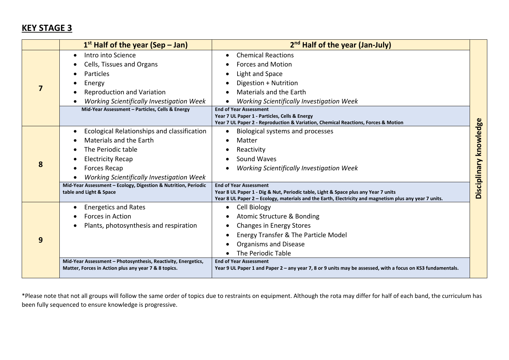## **KEY STAGE 3**

|   | $1st$ Half of the year (Sep – Jan)                                                                                                                                                                                                                                                                     | 2 <sup>nd</sup> Half of the year (Jan-July)                                                                                                                                                                                                                                                                                                                                                                                                 |                        |
|---|--------------------------------------------------------------------------------------------------------------------------------------------------------------------------------------------------------------------------------------------------------------------------------------------------------|---------------------------------------------------------------------------------------------------------------------------------------------------------------------------------------------------------------------------------------------------------------------------------------------------------------------------------------------------------------------------------------------------------------------------------------------|------------------------|
|   | Intro into Science<br>$\bullet$<br>Cells, Tissues and Organs<br><b>Particles</b><br>Energy<br><b>Reproduction and Variation</b><br>Working Scientifically Investigation Week<br>Mid-Year Assessment - Particles, Cells & Energy                                                                        | <b>Chemical Reactions</b><br>$\bullet$<br><b>Forces and Motion</b><br>Light and Space<br>$\bullet$<br>Digestion + Nutrition<br><b>Materials and the Earth</b><br><b>Working Scientifically Investigation Week</b><br><b>End of Year Assessment</b><br>Year 7 UL Paper 1 - Particles, Cells & Energy                                                                                                                                         |                        |
| 8 | Ecological Relationships and classification<br>$\bullet$<br>Materials and the Earth<br>The Periodic table<br><b>Electricity Recap</b><br><b>Forces Recap</b><br>Working Scientifically Investigation Week<br>Mid-Year Assessment - Ecology, Digestion & Nutrition, Periodic<br>table and Light & Space | Year 7 UL Paper 2 - Reproduction & Variation, Chemical Reactions, Forces & Motion<br>Biological systems and processes<br>$\bullet$<br>Matter<br>Reactivity<br>٠<br>Sound Waves<br>Working Scientifically Investigation Week<br><b>End of Year Assessment</b><br>Year 8 UL Paper 1 - Dig & Nut, Periodic table, Light & Space plus any Year 7 units                                                                                          | Disciplinary knowledge |
| 9 | <b>Energetics and Rates</b><br>Forces in Action<br>Plants, photosynthesis and respiration<br>Mid-Year Assessment - Photosynthesis, Reactivity, Energetics,<br>Matter, Forces in Action plus any year 7 & 8 topics.                                                                                     | Year 8 UL Paper 2 - Ecology, materials and the Earth, Electricity and magnetism plus any year 7 units.<br>Cell Biology<br>$\bullet$<br>Atomic Structure & Bonding<br><b>Changes in Energy Stores</b><br>Energy Transfer & The Particle Model<br>Organisms and Disease<br>The Periodic Table<br><b>End of Year Assessment</b><br>Year 9 UL Paper 1 and Paper 2 - any year 7, 8 or 9 units may be assessed, with a focus on KS3 fundamentals. |                        |

\*Please note that not all groups will follow the same order of topics due to restraints on equipment. Although the rota may differ for half of each band, the curriculum has been fully sequenced to ensure knowledge is progressive.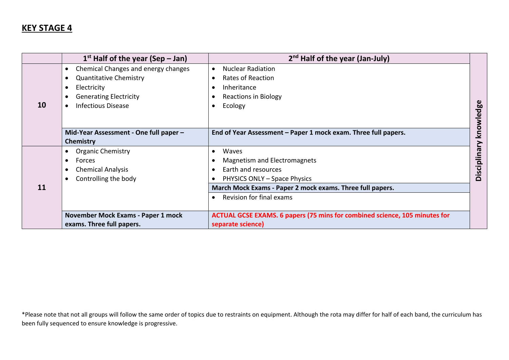### **KEY STAGE 4**

|           | $1st$ Half of the year (Sep – Jan)               | $2nd$ Half of the year (Jan-July)                                                 |            |
|-----------|--------------------------------------------------|-----------------------------------------------------------------------------------|------------|
|           | Chemical Changes and energy changes<br>$\bullet$ | <b>Nuclear Radiation</b><br>$\bullet$                                             |            |
|           | <b>Quantitative Chemistry</b><br>٠               | <b>Rates of Reaction</b>                                                          |            |
|           | Electricity                                      | Inheritance                                                                       |            |
|           | <b>Generating Electricity</b>                    | <b>Reactions in Biology</b>                                                       |            |
| <b>10</b> | <b>Infectious Disease</b>                        | Ecology                                                                           |            |
|           |                                                  |                                                                                   | knowledge  |
|           |                                                  |                                                                                   |            |
|           | Mid-Year Assessment - One full paper -           | End of Year Assessment - Paper 1 mock exam. Three full papers.                    |            |
|           | Chemistry                                        |                                                                                   |            |
|           | <b>Organic Chemistry</b>                         | Waves<br>$\bullet$                                                                |            |
|           | Forces<br>$\bullet$                              | <b>Magnetism and Electromagnets</b>                                               |            |
|           | <b>Chemical Analysis</b>                         | Earth and resources                                                               | Disciplina |
|           | Controlling the body                             | PHYSICS ONLY - Space Physics                                                      |            |
| 11        |                                                  | March Mock Exams - Paper 2 mock exams. Three full papers.                         |            |
|           |                                                  | Revision for final exams                                                          |            |
|           |                                                  |                                                                                   |            |
|           | November Mock Exams - Paper 1 mock               | <b>ACTUAL GCSE EXAMS. 6 papers (75 mins for combined science, 105 minutes for</b> |            |
|           | exams. Three full papers.                        | separate science)                                                                 |            |

\*Please note that not all groups will follow the same order of topics due to restraints on equipment. Although the rota may differ for half of each band, the curriculum has been fully sequenced to ensure knowledge is progressive.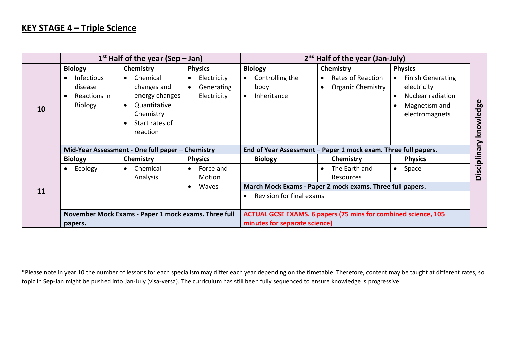#### **KEY STAGE 4 – Triple Science**

|    | $1st$ Half of the year (Sep – Jan)                             |                                                                                                                                | $2nd$ Half of the year (Jan-July)                                  |                                                                       |                                                                         |                                                                                                              |            |
|----|----------------------------------------------------------------|--------------------------------------------------------------------------------------------------------------------------------|--------------------------------------------------------------------|-----------------------------------------------------------------------|-------------------------------------------------------------------------|--------------------------------------------------------------------------------------------------------------|------------|
|    | <b>Biology</b>                                                 | Chemistry                                                                                                                      | <b>Physics</b>                                                     | <b>Biology</b>                                                        | Chemistry                                                               | <b>Physics</b>                                                                                               |            |
| 10 | <b>Infectious</b><br>disease<br>Reactions in<br><b>Biology</b> | Chemical<br>$\bullet$<br>changes and<br>energy changes<br>Quantitative<br>$\bullet$<br>Chemistry<br>Start rates of<br>reaction | Electricity<br>$\bullet$<br>Generating<br>$\bullet$<br>Electricity | Controlling the<br>body<br>Inheritance<br>$\bullet$                   | Rates of Reaction<br>$\bullet$<br><b>Organic Chemistry</b><br>$\bullet$ | <b>Finish Generating</b><br>$\bullet$<br>electricity<br>Nuclear radiation<br>Magnetism and<br>electromagnets | knowledge  |
|    | Mid-Year Assessment - One full paper - Chemistry               |                                                                                                                                | End of Year Assessment - Paper 1 mock exam. Three full papers.     |                                                                       |                                                                         |                                                                                                              |            |
|    | <b>Biology</b>                                                 | Chemistry                                                                                                                      | <b>Physics</b>                                                     | <b>Biology</b>                                                        | Chemistry                                                               | <b>Physics</b>                                                                                               |            |
|    | Ecology                                                        | Chemical<br>$\bullet$<br>Analysis                                                                                              | Force and<br>$\bullet$<br>Motion                                   |                                                                       | The Earth and<br>$\bullet$<br>Resources                                 | Space<br>$\bullet$                                                                                           | Disciplina |
| 11 |                                                                |                                                                                                                                | Waves                                                              |                                                                       | March Mock Exams - Paper 2 mock exams. Three full papers.               |                                                                                                              |            |
|    |                                                                |                                                                                                                                |                                                                    | Revision for final exams<br>$\bullet$                                 |                                                                         |                                                                                                              |            |
|    |                                                                | November Mock Exams - Paper 1 mock exams. Three full                                                                           |                                                                    | <b>ACTUAL GCSE EXAMS. 6 papers (75 mins for combined science, 105</b> |                                                                         |                                                                                                              |            |
|    | papers.                                                        |                                                                                                                                |                                                                    | minutes for separate science)                                         |                                                                         |                                                                                                              |            |

\*Please note in year 10 the number of lessons for each specialism may differ each year depending on the timetable. Therefore, content may be taught at different rates, so topic in Sep‐Jan might be pushed into Jan‐July (visa‐versa). The curriculum has still been fully sequenced to ensure knowledge is progressive.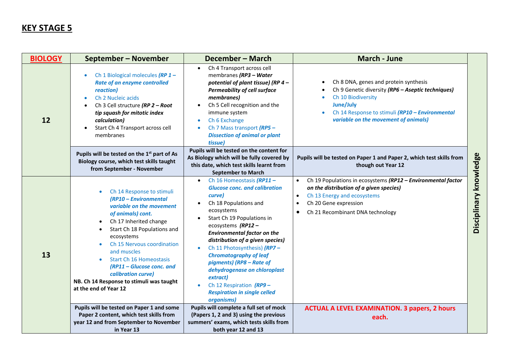### **KEY STAGE 5**

| <b>BIOLOGY</b> | September - November                                                                                                                                                                                                                                                                                                                                                                                                     | December - March                                                                                                                                                                                                                                                                                                                                                                                                                                                                                                  | <b>March - June</b>                                                                                                                                                                                                                        |                        |
|----------------|--------------------------------------------------------------------------------------------------------------------------------------------------------------------------------------------------------------------------------------------------------------------------------------------------------------------------------------------------------------------------------------------------------------------------|-------------------------------------------------------------------------------------------------------------------------------------------------------------------------------------------------------------------------------------------------------------------------------------------------------------------------------------------------------------------------------------------------------------------------------------------------------------------------------------------------------------------|--------------------------------------------------------------------------------------------------------------------------------------------------------------------------------------------------------------------------------------------|------------------------|
| 12             | Ch 1 Biological molecules (RP 1 -<br>Rate of an enzyme controlled<br>reaction)<br>Ch 2 Nucleic acids<br>۰<br>Ch 3 Cell structure (RP 2 - Root<br>tip squash for mitotic index<br>calculation)<br>Start Ch 4 Transport across cell<br>٠<br>membranes                                                                                                                                                                      | Ch 4 Transport across cell<br>membranes (RP3 - Water<br>potential of plant tissue) (RP 4 -<br><b>Permeability of cell surface</b><br>membranes)<br>Ch 5 Cell recognition and the<br>immune system<br>Ch 6 Exchange<br>$\bullet$<br>Ch 7 Mass transport (RP5 -<br><b>Dissection of animal or plant</b><br>tissue)                                                                                                                                                                                                  | Ch 8 DNA, genes and protein synthesis<br>$\bullet$<br>Ch 9 Genetic diversity (RP6 - Aseptic techniques)<br>Ch 10 Biodiversity<br>June/July<br>Ch 14 Response to stimuli (RP10 - Environmental<br>variable on the movement of animals)      |                        |
|                | Pupils will be tested on the 1 <sup>st</sup> part of As<br>Biology course, which test skills taught<br>from September - November                                                                                                                                                                                                                                                                                         | Pupils will be tested on the content for<br>As Biology which will be fully covered by<br>this date, which test skills learnt from<br><b>September to March</b>                                                                                                                                                                                                                                                                                                                                                    | Pupils will be tested on Paper 1 and Paper 2, which test skills from<br>though out Year 12                                                                                                                                                 |                        |
| 13             | Ch 14 Response to stimuli<br>(RP10 - Environmental<br>variable on the movement<br>of animals) cont.<br>Ch 17 Inherited change<br>$\bullet$<br>Start Ch 18 Populations and<br>$\bullet$<br>ecosystems<br>Ch 15 Nervous coordination<br>$\bullet$<br>and muscles<br><b>Start Ch 16 Homeostasis</b><br>(RP11 - Glucose conc. and<br>calibration curve)<br>NB. Ch 14 Response to stimuli was taught<br>at the end of Year 12 | Ch 16 Homeostasis (RP11 -<br>$\bullet$<br><b>Glucose conc. and calibration</b><br>curve)<br>Ch 18 Populations and<br>$\bullet$<br>ecosystems<br>Start Ch 19 Populations in<br>$\bullet$<br>ecosystems (RP12-<br><b>Environmental factor on the</b><br>distribution of a given species)<br>Ch 11 Photosynthesis) (RP7-<br><b>Chromatography of leaf</b><br>pigments) (RP8 - Rate of<br>dehydrogenase on chloroplast<br>extract)<br>Ch 12 Respiration $(RP9 -$<br><b>Respiration in single celled</b><br>organisms) | Ch 19 Populations in ecosystems (RP12 - Environmental factor<br>on the distribution of a given species)<br>Ch 13 Energy and ecosystems<br>$\bullet$<br>Ch 20 Gene expression<br>$\bullet$<br>Ch 21 Recombinant DNA technology<br>$\bullet$ | Disciplinary knowledge |
|                | Pupils will be tested on Paper 1 and some<br>Paper 2 content, which test skills from<br>year 12 and from September to November                                                                                                                                                                                                                                                                                           | Pupils will complete a full set of mock<br>(Papers 1, 2 and 3) using the previous<br>summers' exams, which tests skills from                                                                                                                                                                                                                                                                                                                                                                                      | <b>ACTUAL A LEVEL EXAMINATION. 3 papers, 2 hours</b><br>each.                                                                                                                                                                              |                        |
|                | in Year 13                                                                                                                                                                                                                                                                                                                                                                                                               | both year 12 and 13                                                                                                                                                                                                                                                                                                                                                                                                                                                                                               |                                                                                                                                                                                                                                            |                        |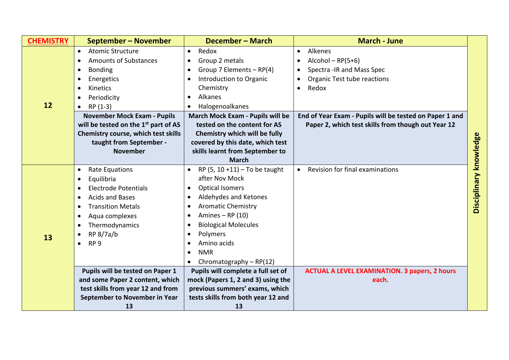| <b>CHEMISTRY</b> | September - November                             | December - March                       | <b>March - June</b>                                     |                        |
|------------------|--------------------------------------------------|----------------------------------------|---------------------------------------------------------|------------------------|
|                  | <b>Atomic Structure</b><br>$\bullet$             | Redox<br>$\bullet$                     | Alkenes<br>$\bullet$                                    |                        |
|                  | <b>Amounts of Substances</b><br>$\bullet$        | Group 2 metals<br>$\bullet$            | $Alcohol - RP(5+6)$                                     |                        |
|                  | <b>Bonding</b><br>$\bullet$                      | Group 7 Elements - RP(4)<br>$\bullet$  | Spectra - IR and Mass Spec<br>$\bullet$                 |                        |
|                  | Energetics<br>$\bullet$                          | Introduction to Organic<br>$\bullet$   | Organic Test tube reactions                             |                        |
|                  | Kinetics<br>$\bullet$                            | Chemistry                              | Redox<br>$\bullet$                                      |                        |
|                  | Periodicity<br>$\bullet$                         | Alkanes                                |                                                         |                        |
| 12               | $RP(1-3)$<br>$\bullet$                           | Halogenoalkanes                        |                                                         |                        |
|                  | <b>November Mock Exam - Pupils</b>               | March Mock Exam - Pupils will be       | End of Year Exam - Pupils will be tested on Paper 1 and |                        |
|                  | will be tested on the 1 <sup>st</sup> part of AS | tested on the content for AS           | Paper 2, which test skills from though out Year 12      |                        |
|                  | Chemistry course, which test skills              | Chemistry which will be fully          |                                                         |                        |
|                  | taught from September -                          | covered by this date, which test       |                                                         |                        |
|                  | <b>November</b>                                  | skills learnt from September to        |                                                         |                        |
|                  |                                                  | <b>March</b>                           |                                                         |                        |
|                  | Rate Equations<br>$\bullet$                      | RP $(5, 10 + 11)$ – To be taught       | Revision for final examinations<br>$\bullet$            | Disciplinary knowledge |
|                  | Equilibria<br>$\bullet$                          | after Nov Mock                         |                                                         |                        |
|                  | <b>Electrode Potentials</b><br>$\bullet$         | <b>Optical Isomers</b><br>$\bullet$    |                                                         |                        |
|                  | <b>Acids and Bases</b><br>$\bullet$              | Aldehydes and Ketones<br>$\bullet$     |                                                         |                        |
|                  | <b>Transition Metals</b><br>$\bullet$            | <b>Aromatic Chemistry</b><br>$\bullet$ |                                                         |                        |
|                  | Aqua complexes<br>$\bullet$                      | Amines $-$ RP (10)                     |                                                         |                        |
|                  | Thermodynamics<br>$\bullet$                      | <b>Biological Molecules</b>            |                                                         |                        |
| 13               | RP 8/7a/b<br>$\bullet$                           | Polymers                               |                                                         |                        |
|                  | RP <sub>9</sub><br>$\bullet$                     | Amino acids                            |                                                         |                        |
|                  |                                                  | <b>NMR</b>                             |                                                         |                        |
|                  |                                                  | Chromatography - RP(12)<br>$\bullet$   |                                                         |                        |
|                  | Pupils will be tested on Paper 1                 | Pupils will complete a full set of     | <b>ACTUAL A LEVEL EXAMINATION. 3 papers, 2 hours</b>    |                        |
|                  | and some Paper 2 content, which                  | mock (Papers 1, 2 and 3) using the     | each.                                                   |                        |
|                  | test skills from year 12 and from                | previous summers' exams, which         |                                                         |                        |
|                  | September to November in Year                    | tests skills from both year 12 and     |                                                         |                        |
|                  | 13                                               | 13                                     |                                                         |                        |